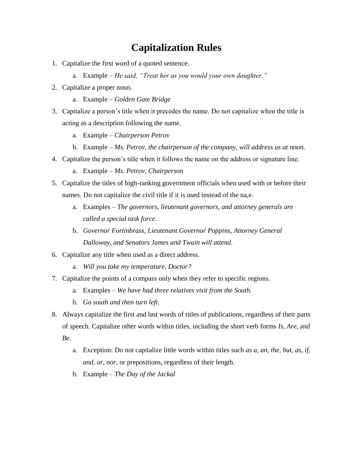## **Capitalization Rules**

- 1. Capitalize the first word of a quoted sentence.
	- a. Example *– He said, "Treat her as you would your own daughter."*
- 2. Capitalize a proper noun.
	- a. Example *– Golden Gate Bridge*
- 3. Capitalize a person's title when it precedes the name. Do not capitalize when the title is acting as a description following the name.
	- a. Example *– Chairperson Petrov*
	- b. Example *– Ms. Petrov, the chairperson of the company, will address us at noon.*
- 4. Capitalize the person's title when it follows the name on the address or signature line.
	- a. Example *– Ms. Petrov, Chairperson*
- 5. Capitalize the titles of high-ranking government officials when used with or before their names. Do not capitalize the civil title if it is used instead of the na,e.
	- a. Examples *– The governors, lieutenant governors, and attorney generals are called a special task force*.
	- b. *Governor Fortinbrass, Lieutenant Governor Poppins, Attorney General Dalloway, and Senators James and Twain will attend*.
- 6. Capitalize any title when used as a direct address.
	- a. *Will you take my temperature, Doctor?*
- 7. Capitalize the points of a compass only when they refer to specific regions.
	- a. Examples *– We have had three relatives visit from the South*.
	- b. *Go south and then turn left*.
- 8. Always capitalize the first and last words of titles of publications, regardless of their parts of speech. Capitalize other words within titles, including the short verb forms *Is*, *Are*, and *Be*.
	- a. Exception: Do not capitalize little words within titles such *as a, an, the, but, as, if, and, or, nor,* or prepositions, regardless of their length.
	- b. Example *– The Day of the Jackal*